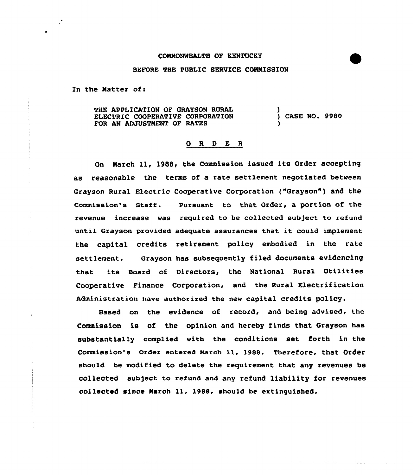## CONNONNEALTH OP KENTUCKY

## BEFORE THE PUBLIC SERVICE COMMISSION

In the Natter of:

THE APPLICATION OF GRAYSON RURAL ELECTRIC COOPERATIVE CORPORATION FOR AN ADJUSTNENT OF RATES ) ) CASE NO. 9980 )

## 0 <sup>R</sup> <sup>D</sup> E <sup>R</sup>

On March 11, 1988, the Commission issued its Order accepting as reasonable the terms of a rate settlement negotiated between Grayson Rural Electric cooperative corporation ("Grayson" ) and the Commission's Staff. Pursuant to that Order, a portion of the revenue increase was required to be collected subject to refund until Grayson provided adequate assurances that it could implement the capital credits retirement policy embodied in the rate settlement. Grayson has subsequently filed documents evidencing that its Board of Directors, the National Rural Utilities Cooperative Finance Corporation, and the Rural Electrification Administration have authorized the new capital credits policy.

Based on the evidence of record, and being advised, the Commission is of the opinion and hereby finds that Grayson has substantially complied with the conditions set forth in the commission's order entered March ll, l988. Therefore, that order should be modified to delete the requirement that any revenues be collected subject to refund and any refund liability for revenues collected since Narch 11, 1988, should be extinguished.

in a shekara